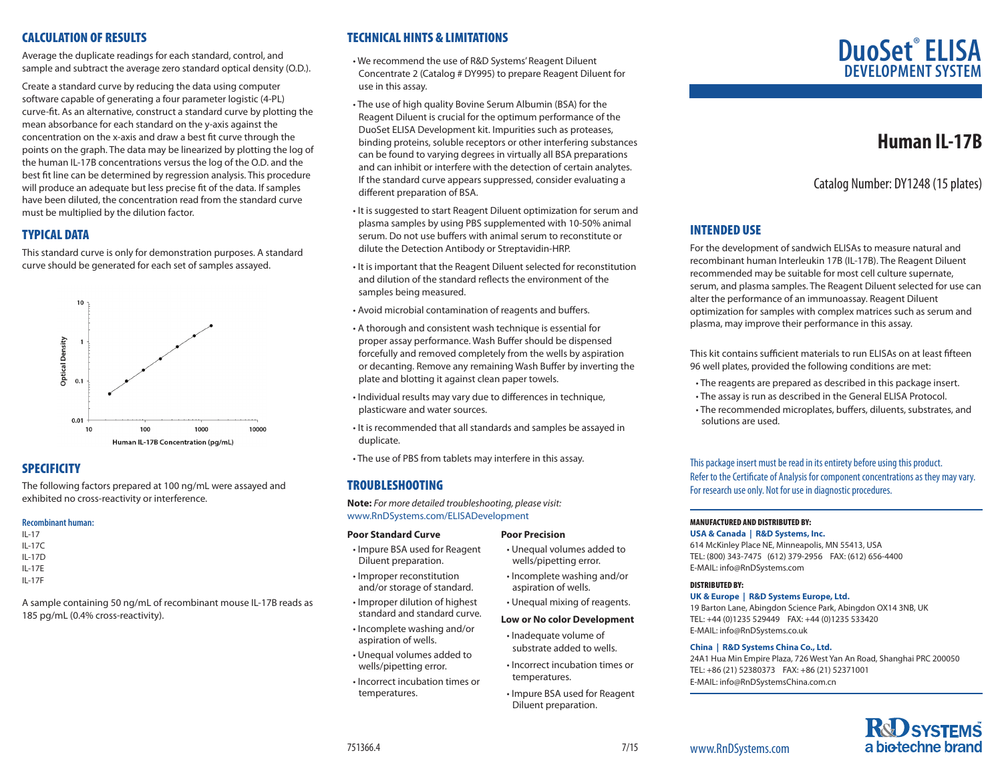# CALCULATION OF RESULTS

Average the duplicate readings for each standard, control, and sample and subtract the average zero standard optical density (O.D.).

Create a standard curve by reducing the data using computer software capable of generating a four parameter logistic (4-PL) curve-fit. As an alternative, construct a standard curve by plotting the mean absorbance for each standard on the y-axis against the concentration on the x-axis and draw a best fit curve through the points on the graph. The data may be linearized by plotting the log of the human IL-17B concentrations versus the log of the O.D. and the best fit line can be determined by regression analysis. This procedure will produce an adequate but less precise fit of the data. If samples have been diluted, the concentration read from the standard curve must be multiplied by the dilution factor.

# TYPICAL DATA

This standard curve is only for demonstration purposes. A standard curve should be generated for each set of samples assayed.



# **SPECIFICITY**

The following factors prepared at 100 ng/mL were assayed and exhibited no cross-reactivity or interference.

### **Recombinant human:**

- IL-17
- IL-17C
- IL-17D IL-17E
- IL-17F

A sample containing 50 ng/mL of recombinant mouse IL-17B reads as 185 pg/mL (0.4% cross-reactivity).

# TECHNICAL HINTS & LIMITATIONS

• We recommend the use of R&D Systems' Reagent Diluent Concentrate 2 (Catalog # DY995) to prepare Reagent Diluent for use in this assay.

- The use of high quality Bovine Serum Albumin (BSA) for the Reagent Diluent is crucial for the optimum performance of the DuoSet ELISA Development kit. Impurities such as proteases, binding proteins, soluble receptors or other interfering substances can be found to varying degrees in virtually all BSA preparations and can inhibit or interfere with the detection of certain analytes. If the standard curve appears suppressed, consider evaluating a different preparation of BSA.
- It is suggested to start Reagent Diluent optimization for serum and plasma samples by using PBS supplemented with 10-50% animal serum. Do not use buffers with animal serum to reconstitute or dilute the Detection Antibody or Streptavidin-HRP.
- It is important that the Reagent Diluent selected for reconstitution and dilution of the standard reflects the environment of the samples being measured.
- Avoid microbial contamination of reagents and buffers.
- A thorough and consistent wash technique is essential for proper assay performance. Wash Buffer should be dispensed forcefully and removed completely from the wells by aspiration or decanting. Remove any remaining Wash Buffer by inverting the plate and blotting it against clean paper towels.
- Individual results may vary due to differences in technique, plasticware and water sources.
- It is recommended that all standards and samples be assayed in duplicate.
- The use of PBS from tablets may interfere in this assay.

# TROUBLESHOOTING

**Note:** *For more detailed troubleshooting, please visit:* www.RnDSystems.com/ELISADevelopment

### **Poor Standard Curve**

- Impure BSA used for Reagent Diluent preparation.
- Improper reconstitution and/or storage of standard.
- Improper dilution of highest standard and standard curve.
- Incomplete washing and/or aspiration of wells.
- Unequal volumes added to wells/pipetting error.
- Incorrect incubation times or temperatures.

# **DuoSet**®  **ELISA DEVELOPMENT SYS**

# **Human IL-17B**

Catalog Number: DY1248 (15 plates)

# INTENDED USE

For the development of sandwich ELISAs to measure natural and recombinant human Interleukin 17B (IL-17B). The Reagent Diluent recommended may be suitable for most cell culture supernate, serum, and plasma samples. The Reagent Diluent selected for use can alter the performance of an immunoassay. Reagent Diluent optimization for samples with complex matrices such as serum and plasma, may improve their performance in this assay.

This kit contains sufficient materials to run ELISAs on at least fifteen 96 well plates, provided the following conditions are met:

- The reagents are prepared as described in this package insert.
- The assay is run as described in the General ELISA Protocol.
- The recommended microplates, buffers, diluents, substrates, and solutions are used.

This package insert must be read in its entirety before using this product. Refer to the Certificate of Analysis for component concentrations as they may vary. For research use only. Not for use in diagnostic procedures.

# MANUFACTURED AND DISTRIBUTED BY:

### **USA & Canada | R&D Systems, Inc.**

614 McKinley Place NE, Minneapolis, MN 55413, USA TEL: (800) 343-7475 (612) 379-2956 FAX: (612) 656-4400 E-MAIL: info@RnDSystems.com

### DISTRIBUTED BY:

**UK & Europe | R&D Systems Europe, Ltd.**

19 Barton Lane, Abingdon Science Park, Abingdon OX14 3NB, UK TEL: +44 (0)1235 529449 FAX: +44 (0)1235 533420 E-MAIL: info@RnDSystems.co.uk

### **China | R&D Systems China Co., Ltd.**

24A1 Hua Min Empire Plaza, 726 West Yan An Road, Shanghai PRC 200050 TEL: +86 (21) 52380373 FAX: +86 (21) 52371001 E-MAIL: info@RnDSystemsChina.com.cn



www.RnDSystems.com

- **Poor Precision**
- Unequal volumes added to wells/pipetting error.
- Incomplete washing and/or aspiration of wells.
	- Unequal mixing of reagents.

### **Low or No color Development**

• Incorrect incubation times or

Diluent preparation.